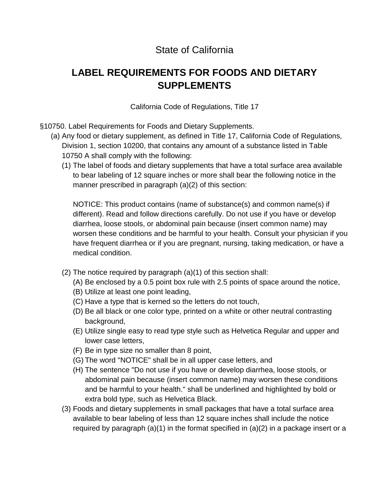## State of California

# **LABEL REQUIREMENTS FOR FOODS AND DIETARY SUPPLEMENTS**

California Code of Regulations, Title 17

- §10750. Label Requirements for Foods and Dietary Supplements.
	- (a) Any food or dietary supplement, as defined in Title 17, California Code of Regulations, Division 1, section 10200, that contains any amount of a substance listed in Table 10750 A shall comply with the following:
		- (1) The label of foods and dietary supplements that have a total surface area available to bear labeling of 12 square inches or more shall bear the following notice in the manner prescribed in paragraph (a)(2) of this section:

 different). Read and follow directions carefully. Do not use if you have or develop diarrhea, loose stools, or abdominal pain because (insert common name) may NOTICE: This product contains (name of substance(s) and common name(s) if worsen these conditions and be harmful to your health. Consult your physician if you have frequent diarrhea or if you are pregnant, nursing, taking medication, or have a medical condition.

- (2) The notice required by paragraph (a)(1) of this section shall:
	- (A) Be enclosed by a 0.5 point box rule with 2.5 points of space around the notice,
	- (B) Utilize at least one point leading,
	- (C) Have a type that is kerned so the letters do not touch,
	- (D) Be all black or one color type, printed on a white or other neutral contrasting background,
	- (E) Utilize single easy to read type style such as Helvetica Regular and upper and lower case letters,
	- (F) Be in type size no smaller than 8 point,
	- (G) The word "NOTICE" shall be in all upper case letters, and
	- and be harmful to your health." shall be underlined and highlighted by bold or (H) The sentence "Do not use if you have or develop diarrhea, loose stools, or abdominal pain because (insert common name) may worsen these conditions extra bold type, such as Helvetica Black.
- (3) Foods and dietary supplements in small packages that have a total surface area available to bear labeling of less than 12 square inches shall include the notice required by paragraph  $(a)(1)$  in the format specified in  $(a)(2)$  in a package insert or a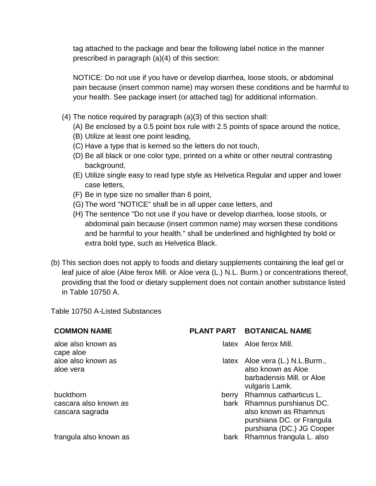tag attached to the package and bear the following label notice in the manner prescribed in paragraph (a)(4) of this section:

NOTICE: Do not use if you have or develop diarrhea, loose stools, or abdominal pain because (insert common name) may worsen these conditions and be harmful to your health. See package insert (or attached tag) for additional information.

- (4) The notice required by paragraph (a)(3) of this section shall:
	- (A) Be enclosed by a 0.5 point box rule with 2.5 points of space around the notice,
	- (B) Utilize at least one point leading,
	- (C) Have a type that is kerned so the letters do not touch,
	- (D) Be all black or one color type, printed on a white or other neutral contrasting background,
	- (E) Utilize single easy to read type style as Helvetica Regular and upper and lower case letters,
	- (F) Be in type size no smaller than 6 point,
	- (G) The word "NOTICE" shall be in all upper case letters, and
	- (H) The sentence "Do not use if you have or develop diarrhea, loose stools, or abdominal pain because (insert common name) may worsen these conditions and be harmful to your health." shall be underlined and highlighted by bold or extra bold type, such as Helvetica Black.
- (b) This section does not apply to foods and dietary supplements containing the leaf gel or leaf juice of aloe (Aloe ferox Mill. or Aloe vera (L.) N.L. Burm.) or concentrations thereof, providing that the food or dietary supplement does not contain another substance listed in Table 10750 A.

Table 10750 A-Listed Substances

aloe also known as latex Aloe ferox Mill. cape aloe

### **COMMON NAME PLANT PART BOTANICAL NAME**

- 
- aloe also known as **latex** Aloe vera (L.) N.L.Burm., aloe vera also known as Aloe barbadensis Mill. or Aloe vulgaris Lamk.
- buckthorn berry Rhamnus catharticus L. cascara also known as bark Rhamnus purshianus DC. cascara sagrada also known as Rhamnus purshiana DC. or Frangula purshiana (DC.) JG Cooper frangula also known as bark Rhamnus frangula L. also